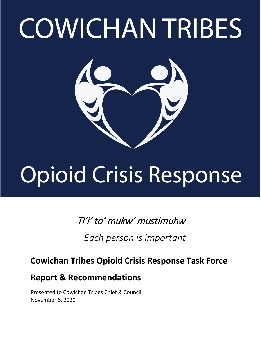# **COWICHAN TRIBES**



## **Opioid Crisis Response**

## Tl'i' to' mukw' mustimuhw

 *Each person is important*

## **Cowichan Tribes Opioid Crisis Response Task Force**

## **Report & Recommendations**

Presented to Cowichan Tribes Chief & Council November 6, 2020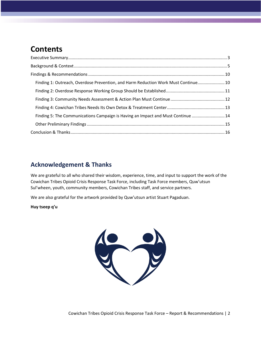## **Contents**

| Finding 1: Outreach, Overdose Prevention, and Harm Reduction Work Must Continue 10 |  |
|------------------------------------------------------------------------------------|--|
|                                                                                    |  |
|                                                                                    |  |
|                                                                                    |  |
| Finding 5: The Communications Campaign is Having an Impact and Must Continue  14   |  |
|                                                                                    |  |
|                                                                                    |  |

### **Acknowledgement & Thanks**

We are grateful to all who shared their wisdom, experience, time, and input to support the work of the Cowichan Tribes Opioid Crisis Response Task Force, including Task Force members, Quw'utsun Sul'wheen, youth, community members, Cowichan Tribes staff, and service partners.

We are also grateful for the artwork provided by Quw'utsun artist Stuart Pagaduan.

**Huy tseep q'u**

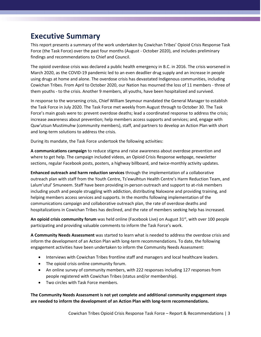## <span id="page-2-0"></span>**Executive Summary**

This report presents a summary of the work undertaken by Cowichan Tribes' Opioid Crisis Response Task Force (the Task Force) over the past four months (August - October 2020), and includes preliminary findings and recommendations to Chief and Council.

The opioid overdose crisis was declared a public health emergency in B.C. in 2016. The crisis worsened in March 2020, as the COVID-19 pandemic led to an even deadlier drug supply and an increase in people using drugs at home and alone. The overdose crisis has devastated Indigenous communities, including Cowichan Tribes. From April to October 2020, our Nation has mourned the loss of 11 members - three of them youths - to the crisis. Another 9 members, all youths, have been hospitalized and survived.

In response to the worsening crisis, Chief William Seymour mandated the General Manager to establish the Task Force in July 2020. The Task Force met weekly from August through to October 30. The Task Force's main goals were to: prevent overdose deaths; lead a coordinated response to address the crisis; increase awareness about prevention; help members access supports and services; and, engage with Quw'utsun Mustimuhw (community members), staff, and partners to develop an Action Plan with short and long-term solutions to address the crisis.

During its mandate, the Task Force undertook the following activities:

**A communications campaign** to reduce stigma and raise awareness about overdose prevention and where to get help. The campaign included videos, an Opioid Crisis Response webpage, newsletter sections, regular Facebook posts, posters, a highway billboard, and twice-monthly activity updates.

**Enhanced outreach and harm reduction services** through the implementation of a collaborative outreach plan with staff from the Youth Centre, Ts'ewulhtun Health Centre's Harm Reduction Team, and Lalum'utul' Smuneem. Staff have been providing in-person outreach and support to at-risk members including youth and people struggling with addiction, distributing Naloxone and providing training, and helping members access services and supports. In the months following implementation of the communications campaign and collaborative outreach plan, the rate of overdose deaths and hospitalizations in Cowichan Tribes has declined, and the rate of members seeking help has increased.

An opioid crisis community forum was held online (Facebook Live) on August 31<sup>st</sup>, with over 100 people participating and providing valuable comments to inform the Task Force's work.

**A Community Needs Assessment** was started to learn what is needed to address the overdose crisis and inform the development of an Action Plan with long-term recommendations. To date, the following engagement activities have been undertaken to inform the Community Needs Assessment:

- Interviews with Cowichan Tribes frontline staff and managers and local healthcare leaders.
- The opioid crisis online community forum.
- An online survey of community members, with 222 responses including 127 responses from people registered with Cowichan Tribes (status and/or membership).
- Two circles with Task Force members.

**The Community Needs Assessment is not yet complete and additional community engagement steps are needed to inform the development of an Action Plan with long-term recommendations.**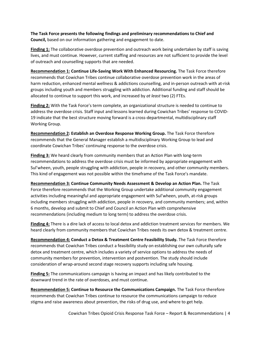**The Task Force presents the following findings and preliminary recommendations to Chief and Council,** based on our information gathering and engagement to date.

**Finding 1:** The collaborative overdose prevention and outreach work being undertaken by staff is saving lives, and must continue. However, current staffing and resources are not sufficient to provide the level of outreach and counselling supports that are needed.

**Recommendation 1: Continue Life-Saving Work With Enhanced Resourcing.** The Task Force therefore recommends that Cowichan Tribes continue collaborative overdose prevention work in the areas of harm reduction, enhanced mental wellness & addictions counselling, and in-person outreach with at-risk groups including youth and members struggling with addiction. Additional funding and staff should be allocated to continue to support this work, and increased by *at least* two (2) FTEs.

**Finding 2:** With the Task Force's term complete, an organizational structure is needed to continue to address the overdose crisis. Staff input and lessons learned during Cowichan Tribes' response to COVID-19 indicate that the best structure moving forward is a cross-departmental, multidisciplinary staff Working Group.

**Recommendation 2: Establish an Overdose Response Working Group.** The Task Force therefore recommends that the General Manager establish a multidisciplinary Working Group to lead and coordinate Cowichan Tribes' continuing response to the overdose crisis.

**Finding 3:** We heard clearly from community members that an Action Plan with long-term recommendations to address the overdose crisis must be informed by appropriate engagement with Sul'wheen, youth, people struggling with addiction, people in recovery, and other community members. This kind of engagement was not possible within the timeframe of the Task Force's mandate.

**Recommendation 3: Continue Community Needs Assessment & Develop an Action Plan.** The Task Force therefore recommends that the Working Group undertake additional community engagement activities including meaningful and appropriate engagement with Sul'wheen, youth, at-risk groups including members struggling with addiction, people in recovery, and community members; and, within 6 months, develop and submit to Chief and Council an Action Plan with comprehensive recommendations (including medium to long term) to address the overdose crisis.

**Finding 4:** There is a dire lack of access to local detox and addiction treatment services for members. We heard clearly from community members that Cowichan Tribes needs its own detox & treatment centre.

**Recommendation 4: Conduct a Detox & Treatment Centre Feasibility Study.** The Task Force therefore recommends that Cowichan Tribes conduct a feasibility study on establishing our own culturally safe detox and treatment centre, which includes a variety of service options to address the needs of community members for prevention, intervention and postvention. The study should include consideration of wrap-around second stage recovery supports including safe housing.

**Finding 5:** The communications campaign is having an impact and has likely contributed to the downward trend in the rate of overdoses, and must continue.

**Recommendation 5: Continue to Resource the Communications Campaign.** The Task Force therefore recommends that Cowichan Tribes continue to resource the communications campaign to reduce stigma and raise awareness about prevention, the risks of drug use, and where to get help.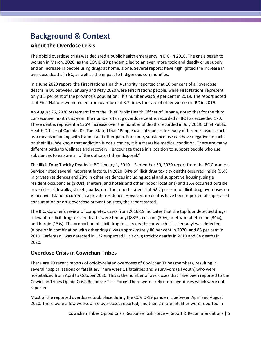## <span id="page-4-0"></span>**Background & Context**

#### **About the Overdose Crisis**

The opioid overdose crisis was declared a public health emergency in B.C. in 2016. The crisis began to worsen in March, 2020, as the COVID-19 pandemic led to an even more toxic and deadly drug supply and an increase in people using drugs at home, alone. Several reports have highlighted the increase in overdose deaths in BC, as well as the impact to Indigenous communities.

In a June 2020 report, the First Nations Health Authority reported that 16 per cent of all overdose deaths in BC between January and May 2020 were First Nations people, while First Nations represent only 3.3 per cent of the province's population. This number was 9.9 per cent in 2019. The report noted that First Nations women died from overdose at 8.7 times the rate of other women in BC in 2019.

An August 26, 2020 Statement from the Chief Public Health Officer of Canada, noted that for the third consecutive month this year, the number of drug overdose deaths recorded in BC has exceeded 170. These deaths represent a 136% increase over the number of deaths recorded in July 2019. Chief Public Health Officer of Canada, Dr. Tam stated that "People use substances for many different reasons, such as a means of coping with trauma and other pain. For some, substance use can have negative impacts on their life. We know that addiction is not a choice, it is a treatable medical condition. There are many different paths to wellness and recovery. I encourage those in a position to support people who use substances to explore all of the options at their disposal."

The Illicit Drug Toxicity Deaths in BC January 1, 2010 – September 30, 2020 report from the BC Coroner's Service noted several important factors. In 2020, 84% of illicit drug toxicity deaths occurred inside (56% in private residences and 28% in other residences including social and supportive housing, single resident occupancies (SROs), shelters, and hotels and other indoor locations) and 15% occurred outside in vehicles, sidewalks, streets, parks, etc. The report stated that 62.2 per cent of illicit drug overdoses on Vancouver Island occurred in a private residence. However, no deaths have been reported at supervised consumption or drug overdose prevention sites, the report stated.

The B.C. Coroner's review of completed cases from 2016-19 indicates that the top four detected drugs relevant to illicit drug toxicity deaths were fentanyl (83%), cocaine (50%), meth/amphetamine (34%), and heroin (15%). The proportion of illicit drug toxicity deaths for which illicit fentanyl was detected (alone or in combination with other drugs) was approximately 80 per cent in 2020, and 85 per cent in 2019. Carfentanil was detected in 132 suspected illicit drug toxicity deaths in 2019 and 34 deaths in 2020.

#### **Overdose Crisis in Cowichan Tribes**

There are 20 recent reports of opioid-related overdoses of Cowichan Tribes members, resulting in several hospitalizations or fatalities. There were 11 fatalities and 9 survivors (all youth) who were hospitalized from April to October 2020. This is the number of overdoses that have been reported to the Cowichan Tribes Opioid Crisis Response Task Force. There were likely more overdoses which were not reported.

Most of the reported overdoses took place during the COVID-19 pandemic between April and August 2020. There were a few weeks of no overdoses reported, and then 2 more fatalities were reported in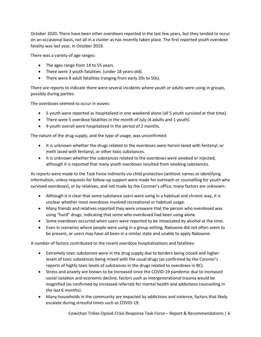October 2020. There have been other overdoses reported in the last few years, but they tended to occur on an occasional basis, not all in a cluster as has recently taken place. The first reported youth overdose fatality was last year, in October 2019.

There was a variety of age ranges:

- The ages range from 14 to 55 years.
- There were 3 youth fatalities (under 18 years-old).
- There were 8 adult fatalities (ranging from early 20s to 50s).

There are reports to indicate there were several incidents where youth or adults were using in groups, possibly during parties.

The overdoses seemed to occur in waves:

- 5 youth were reported as hospitalized in one weekend alone (all 5 youth survived at that time).
- There were 5 overdose fatalities in the month of July (4 adults and 1 youth).
- 9 youth overall were hospitalized in the period of 2 months.

The nature of the drug supply, and the type of usage, was unconfirmed:

- It is unknown whether the drugs related to the overdoses were heroin laced with fentanyl, or meth laced with fentanyl, or other toxic substances.
- It is unknown whether the substances related to the overdoses were smoked or injected, although it is reported that many youth overdoses resulted from smoking substances.

As reports were made to the Task Force indirectly via child protection (without names or identifying information, unless requests for follow-up support were made for outreach or counselling for youth who survived overdoses), or by relatives, and not made by the Coroner's office, many factors are unknown:

- Although it is clear that some substance users were using in a habitual and chronic way, it is unclear whether most overdoses involved recreational or habitual usage.
- Many friends and relatives reported they were unaware that the person who overdosed was using "hard" drugs, indicating that some who overdosed had been using alone.
- Some overdoses occurred when users were reported to be intoxicated by alcohol at the time.
- Even in scenarios where people were using in a group setting, Naloxone did not often seem to be present, or users may have all been in a similar state and unable to apply Naloxone.

A number of factors contributed to the recent overdose hospitalizations and fatalities:

- Extremely toxic substances were in the drug supply due to borders being closed and higher levels of toxic substances being mixed with the usual drugs (as confirmed by the Coroner's reports of highly toxic levels of substances in the drugs related to overdoses in BC).
- Stress and anxiety are known to be increased since the COVID-19 pandemic due to increased social isolation and economic decline, factors such as intergenerational trauma would be magnified (as confirmed by increased referrals for mental health and addictions counselling in the last 6 months).
- Many households in the community are impacted by addictions and violence, factors that likely escalate during stressful times such as COVID-19.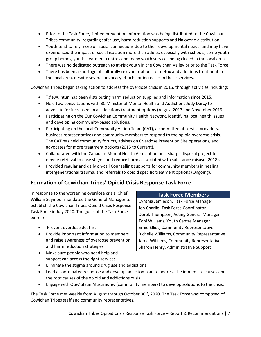- Prior to the Task Force, limited prevention information was being distributed to the Cowichan Tribes community, regarding safer use, harm reduction supports and Naloxone distribution.
- Youth tend to rely more on social connections due to their developmental needs, and may have experienced the impact of social isolation more than adults, especially with schools, some youth group homes, youth treatment centres and many youth services being closed in the local area.
- There was no dedicated outreach to at-risk youth in the Cowichan Valley prior to the Task Force.
- There has been a shortage of culturally relevant options for detox and additions treatment in the local area, despite several advocacy efforts for increases in these services.

Cowichan Tribes began taking action to address the overdose crisis in 2015, through activities including:

- Ts'ewulhtun has been distributing harm reduction supplies and information since 2015.
- Held two consultations with BC Minister of Mental Health and Addictions Judy Darcy to advocate for increased local addictions treatment options (August 2017 and November 2019).
- Participating on the Our Cowichan Community Health Network, identifying local health issues and developing community-based solutions.
- Participating on the local Community Action Team (CAT), a committee of service providers, business representatives and community members to respond to the opioid overdose crisis. The CAT has held community forums, advises on Overdose Prevention Site operations, and advocates for more treatment options (2015 to Current).
- Collaborated with the Canadian Mental Health Association on a sharps disposal project for needle retrieval to ease stigma and reduce harms associated with substance misuse (2018).
- Provided regular and daily on-call Counselling supports for community members in healing intergenerational trauma, and referrals to opioid specific treatment options (Ongoing).

#### **Formation of Cowichan Tribes' Opioid Crisis Response Task Force**

In response to the worsening overdose crisis, Chief William Seymour mandated the General Manager to establish the Cowichan Tribes Opioid Crisis Response Task Force in July 2020. The goals of the Task Force were to:

- Prevent overdose deaths.
- Provide important information to members and raise awareness of overdose prevention and harm reduction strategies.
- Make sure people who need help and support can access the right services.
- Eliminate the stigma around drug use and addictions.
- Lead a coordinated response and develop an action plan to address the immediate causes and the root causes of the opioid and addictions crisis.
- Engage with Quw'utsun Mustimuhw (community members) to develop solutions to the crisis.

The Task Force met weekly from August through October 30<sup>th</sup>, 2020. The Task Force was composed of Cowichan Tribes staff and community representatives.

#### Cowichan Tribes Opioid Crisis Response Task Force – Report & Recommendations | 7

#### **Task Force Members**

Cynthia Jamieson, Task Force Manager Jen Charlie, Task Force Coordinator Derek Thompson, Acting General Manager Toni Williams, Youth Centre Manager Ernie Elliot, Community Representative Richelle Williams, Community Representative Jared Williams, Community Representative Sharon Henry, Administrative Support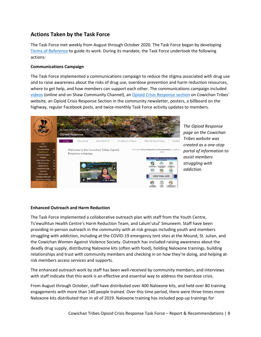#### **Actions Taken by the Task Force**

The Task Force met weekly from August through October 2020. The Task Force began by developing [Terms of Reference](https://cowichantribes.com/application/files/1515/9848/5646/Opioid_Crisis_Response_Task_Force_-_Terms_of_Reference.pdf) to guide its work. During its mandate, the Task Force undertook the following actions:

#### **Communications Campaign**

The Task Force implemented a communications campaign to reduce the stigma associated with drug use and to raise awareness about the risks of drug use, overdose prevention and harm reduction resources, where to get help, and how members can support each other. The communications campaign included [videos](https://vimeo.com/user118479272) (online and on Shaw Community Channel), an [Opioid Crisis Response section](https://cowichantribes.com/opioid-response) on Cowichan Tribes' website, an Opioid Crisis Response Section in the community newsletter, posters, a billboard on the highway, regular Facebook posts, and twice-monthly Task Force activity updates to members.



*The Opioid Response page on the Cowichan Tribes website was created as a one-stop portal of information to assist members struggling with addiction.*

#### **Enhanced Outreach and Harm Reduction**

The Task Force implemented a collaborative outreach plan with staff from the Youth Centre, Ts'ewulhtun Health Centre's Harm Reduction Team, and Lalum'utul' Smuneem. Staff have been providing in-person outreach in the community with at-risk groups including youth and members struggling with addiction, including at the COVID-19 emergency tent sites at the Mound, St. Julian, and the Cowichan Women Against Violence Society. Outreach has included raising awareness about the deadly drug supply, distributing Naloxone kits (often with food), holding Naloxone trainings, building relationships and trust with community members and checking in on how they're doing, and helping atrisk members access services and supports.

The enhanced outreach work by staff has been well-received by community members, and interviews with staff indicate that this work is an effective and essential way to address the overdose crisis.

From August through October, staff have distributed over 400 Naloxone kits, and held over 80 training engagements with more than 140 people trained. Over this time period, there were three times more Naloxone kits distributed than in all of 2019. Naloxone training has included pop-up trainings for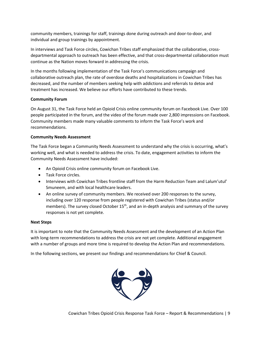community members, trainings for staff, trainings done during outreach and door-to-door, and individual and group trainings by appointment.

In interviews and Task Force circles, Cowichan Tribes staff emphasized that the collaborative, crossdepartmental approach to outreach has been effective, and that cross-departmental collaboration must continue as the Nation moves forward in addressing the crisis.

In the months following implementation of the Task Force's communications campaign and collaborative outreach plan, the rate of overdose deaths and hospitalizations in Cowichan Tribes has decreased, and the number of members seeking help with addictions and referrals to detox and treatment has increased. We believe our efforts have contributed to these trends.

#### **Community Forum**

On August 31, the Task Force held an Opioid Crisis online community forum on Facebook Live. Over 100 people participated in the forum, and the video of the forum made over 2,800 impressions on Facebook. Community members made many valuable comments to inform the Task Force's work and recommendations.

#### **Community Needs Assessment**

The Task Force began a Community Needs Assessment to understand why the crisis is occurring, what's working well, and what is needed to address the crisis. To date, engagement activities to inform the Community Needs Assessment have included:

- An Opioid Crisis online community forum on Facebook Live.
- Task Force circles.
- Interviews with Cowichan Tribes frontline staff from the Harm Reduction Team and Lalum'utul' Smuneem, and with local healthcare leaders.
- An online survey of community members. We received over 200 responses to the survey, including over 120 response from people registered with Cowichan Tribes (status and/or members). The survey closed October  $15<sup>th</sup>$ , and an in-depth analysis and summary of the survey responses is not yet complete.

#### **Next Steps**

It is important to note that the Community Needs Assessment and the development of an Action Plan with long-term recommendations to address the crisis are not yet complete. Additional engagement with a number of groups and more time is required to develop the Action Plan and recommendations.

In the following sections, we present our findings and recommendations for Chief & Council.

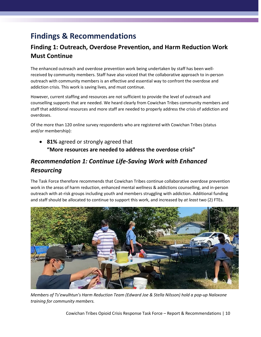## <span id="page-9-0"></span>**Findings & Recommendations**

## <span id="page-9-1"></span>**Finding 1: Outreach, Overdose Prevention, and Harm Reduction Work Must Continue**

The enhanced outreach and overdose prevention work being undertaken by staff has been wellreceived by community members. Staff have also voiced that the collaborative approach to in-person outreach with community members is an effective and essential way to confront the overdose and addiction crisis. This work is saving lives, and must continue.

However, current staffing and resources are not sufficient to provide the level of outreach and counselling supports that are needed. We heard clearly from Cowichan Tribes community members and staff that additional resources and more staff are needed to properly address the crisis of addiction and overdoses.

Of the more than 120 online survey respondents who are registered with Cowichan Tribes (status and/or membership):

• **81%** agreed or strongly agreed that **"More resources are needed to address the overdose crisis"**

## *Recommendation 1: Continue Life-Saving Work with Enhanced Resourcing*

The Task Force therefore recommends that Cowichan Tribes continue collaborative overdose prevention work in the areas of harm reduction, enhanced mental wellness & addictions counselling, and in-person outreach with at-risk groups including youth and members struggling with addiction. Additional funding and staff should be allocated to continue to support this work, and increased by *at least* two (2) FTEs.



*Members of Ts'ewulhtun's Harm Reduction Team (Edward Joe & Stella Nilsson) hold a pop-up Naloxone training for community members.*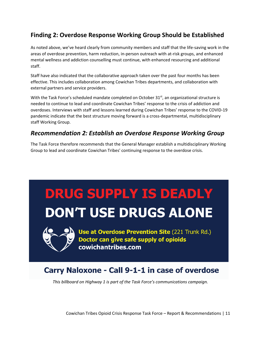## <span id="page-10-0"></span>**Finding 2: Overdose Response Working Group Should be Established**

As noted above, we've heard clearly from community members and staff that the life-saving work in the areas of overdose prevention, harm reduction, in-person outreach with at-risk groups, and enhanced mental wellness and addiction counselling must continue, with enhanced resourcing and additional staff.

Staff have also indicated that the collaborative approach taken over the past four months has been effective. This includes collaboration among Cowichan Tribes departments, and collaboration with external partners and service providers.

With the Task Force's scheduled mandate completed on October 31<sup>st</sup>, an organizational structure is needed to continue to lead and coordinate Cowichan Tribes' response to the crisis of addiction and overdoses. Interviews with staff and lessons learned during Cowichan Tribes' response to the COVID-19 pandemic indicate that the best structure moving forward is a cross-departmental, multidisciplinary staff Working Group.

#### *Recommendation 2: Establish an Overdose Response Working Group*

The Task Force therefore recommends that the General Manager establish a multidisciplinary Working Group to lead and coordinate Cowichan Tribes' continuing response to the overdose crisis.

## **DRUG SUPPLY IS DEADLY DON'T USE DRUGS ALONE**



Use at Overdose Prevention Site (221 Trunk Rd.) Doctor can give safe supply of opioids cowichantribes.com

## Carry Naloxone - Call 9-1-1 in case of overdose

*This billboard on Highway 1 is part of the Task Force's communications campaign.*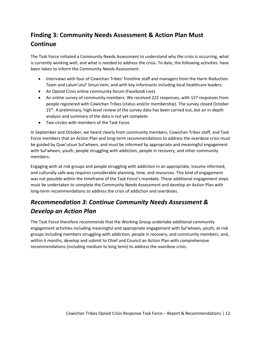## <span id="page-11-0"></span>**Finding 3: Community Needs Assessment & Action Plan Must Continue**

The Task Force initiated a Community Needs Assessment to understand why the crisis is occurring, what is currently working well, and what is needed to address the crisis. To date, the following activities have been taken to inform the Community Needs Assessment:

- Interviews with four of Cowichan Tribes' frontline staff and managers from the Harm Reduction Team and Lalum'utul' Smun'eem, and with key informants including local healthcare leaders.
- An Opioid Crisis online community forum (Facebook Live).
- An online survey of community members. We received 222 responses, with 127 responses from people registered with Cowichan Tribes (status and/or membership). The survey closed October 15<sup>th</sup>. A preliminary, high-level review of the survey data has been carried out, but an in-depth analysis and summary of the data is not yet complete.
- Two circles with members of the Task Force.

In September and October, we heard clearly from community members, Cowichan Tribes staff, and Task Force members that an Action Plan and long-term recommendations to address the overdose crisis must be guided by Quw'utsun Sul'wheen, and must be informed by appropriate and meaningful engagement with Sul'wheen, youth, people struggling with addiction, people in recovery, and other community members.

Engaging with at-risk groups and people struggling with addiction in an appropriate, trauma-informed, and culturally safe way requires considerable planning, time, and resources. This kind of engagement was not possible within the timeframe of the Task Force's mandate. These additional engagement steps must be undertaken to complete the Community Needs Assessment and develop an Action Plan with long-term recommendations to address the crisis of addiction and overdoses.

## *Recommendation 3: Continue Community Needs Assessment & Develop an Action Plan*

The Task Force therefore recommends that the Working Group undertake additional community engagement activities including meaningful and appropriate engagement with Sul'wheen, youth, at-risk groups including members struggling with addiction, people in recovery, and community members; and, within 6 months, develop and submit to Chief and Council an Action Plan with comprehensive recommendations (including medium to long term) to address the overdose crisis.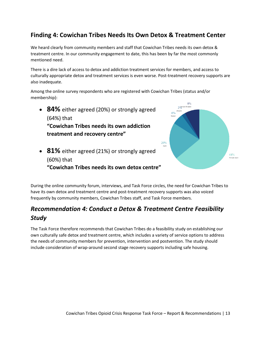## <span id="page-12-0"></span>**Finding 4: Cowichan Tribes Needs Its Own Detox & Treatment Center**

We heard clearly from community members and staff that Cowichan Tribes needs its own detox & treatment centre. In our community engagement to date, this has been by far the most commonly mentioned need.

There is a dire lack of access to detox and addiction treatment services for members, and access to culturally appropriate detox and treatment services is even worse. Post-treatment recovery supports are also inadequate.

Among the online survey respondents who are registered with Cowichan Tribes (status and/or membership):

• **84%** either agreed (20%) or strongly agreed (64%) that **"Cowichan Tribes needs its own addiction treatment and recovery centre"**



• **81%** either agreed (21%) or strongly agreed (60%) that **"Cowichan Tribes needs its own detox centre"**

During the online community forum, interviews, and Task Force circles, the need for Cowichan Tribes to have its own detox and treatment centre and post-treatment recovery supports was also voiced frequently by community members, Cowichan Tribes staff, and Task Force members.

## *Recommendation 4: Conduct a Detox & Treatment Centre Feasibility Study*

The Task Force therefore recommends that Cowichan Tribes do a feasibility study on establishing our own culturally safe detox and treatment centre, which includes a variety of service options to address the needs of community members for prevention, intervention and postvention. The study should include consideration of wrap-around second stage recovery supports including safe housing.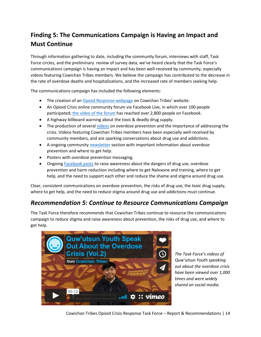## <span id="page-13-0"></span>**Finding 5: The Communications Campaign is Having an Impact and Must Continue**

Through information gathering to date, including the community forum, interviews with staff, Task Force circles, and the preliminary review of survey data, we've heard clearly that the Task Force's communications campaign is having an impact and has been well-received by community, especially videos featuring Cowichan Tribes members. We believe the campaign has contributed to the decrease in the rate of overdose deaths and hospitalizations, and the increased rate of members seeking help.

The communications campaign has included the following elements:

- The creation of an [Opioid Response webpage](https://cowichantribes.com/opioid-response) on Cowichan Tribes' website.
- An Opioid Crisis online community forum via Facebook Live, in which over 100 people participated; [the video of the forum](https://www.facebook.com/326516060818880/videos/1830675760406960) has reached over 2,800 people on Facebook.
- A highway billboard warning about the toxic & deadly drug supply.
- The production of several [videos](https://vimeo.com/user118479272) on overdose prevention and the importance of addressing the crisis. Videos featuring Cowichan Tribes members have been especially well-received by community members, and are sparking conversations about drug use and addictions.
- A ongoing community [newsletter](https://cowichantribes.com/newsletter) section with important information about overdose prevention and where to get help.
- Posters with overdose prevention messaging.
- Ongoing [Facebook posts](https://www.facebook.com/cowichan.tribes/) to raise awareness about the dangers of drug use, overdose prevention and harm reduction including where to get Naloxone and training, where to get help, and the need to support each other and reduce the shame and stigma around drug use.

Clear, consistent communications on overdose prevention, the risks of drug use, the toxic drug supply, where to get help, and the need to reduce stigma around drug use and addictions must continue.

### *Recommendation 5: Continue to Resource Communications Campaign*

The Task Force therefore recommends that Cowichan Tribes continue to resource the communications campaign to reduce stigma and raise awareness about prevention, the risks of drug use, and where to get help.



*The Task Force's videos of Quw'utsun Youth speaking out about the overdose crisis have been viewed over 1,000 times and were widely shared on social media.*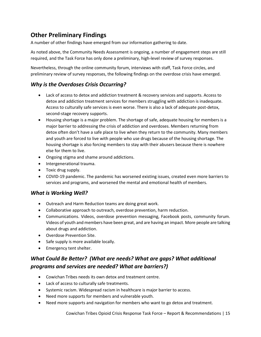## <span id="page-14-0"></span>**Other Preliminary Findings**

A number of other findings have emerged from our information gathering to date.

As noted above, the Community Needs Assessment is ongoing, a number of engagement steps are still required, and the Task Force has only done a preliminary, high-level review of survey responses.

Nevertheless, through the online community forum, interviews with staff, Task Force circles, and preliminary review of survey responses, the following findings on the overdose crisis have emerged.

#### *Why is the Overdoses Crisis Occurring?*

- Lack of access to detox and addiction treatment & recovery services and supports. Access to detox and addiction treatment services for members struggling with addiction is inadequate. Access to culturally safe services is even worse. There is also a lack of adequate post-detox, second-stage recovery supports.
- Housing shortage is a major problem. The shortage of safe, adequate housing for members is a major barrier to addressing the crisis of addiction and overdoses. Members returning from detox often don't have a safe place to live when they return to the community. Many members and youth are forced to live with people who use drugs because of the housing shortage. The housing shortage is also forcing members to stay with their abusers because there is nowhere else for them to live.
- Ongoing stigma and shame around addictions.
- Intergenerational trauma.
- Toxic drug supply.
- COVID-19 pandemic. The pandemic has worsened existing issues, created even more barriers to services and programs, and worsened the mental and emotional health of members.

#### *What is Working Well?*

- Outreach and Harm Reduction teams are doing great work.
- Collaborative approach to outreach, overdose prevention, harm reduction.
- Communications. Videos, overdose prevention messaging, Facebook posts, community forum. Videos of youth and members have been great, and are having an impact. More people are talking about drugs and addiction.
- Overdose Prevention Site.
- Safe supply is more available locally.
- Emergency tent shelter.

### *What Could Be Better? (What are needs? What are gaps? What additional programs and services are needed? What are barriers?)*

- Cowichan Tribes needs its own detox and treatment centre.
- Lack of access to culturally safe treatments.
- Systemic racism. Widespread racism in healthcare is major barrier to access.
- Need more supports for members and vulnerable youth.
- Need more supports and navigation for members who want to go detox and treatment.